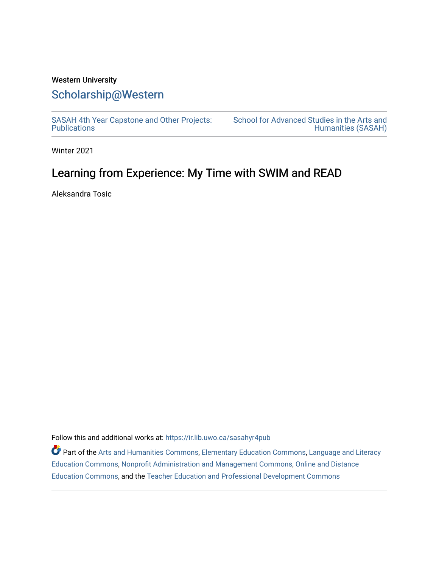## Western University [Scholarship@Western](https://ir.lib.uwo.ca/)

[SASAH 4th Year Capstone and Other Projects:](https://ir.lib.uwo.ca/sasahyr4pub)  **Publications** 

[School for Advanced Studies in the Arts and](https://ir.lib.uwo.ca/sasah)  [Humanities \(SASAH\)](https://ir.lib.uwo.ca/sasah) 

Winter 2021

# Learning from Experience: My Time with SWIM and READ

Aleksandra Tosic

Follow this and additional works at: [https://ir.lib.uwo.ca/sasahyr4pub](https://ir.lib.uwo.ca/sasahyr4pub?utm_source=ir.lib.uwo.ca%2Fsasahyr4pub%2F32&utm_medium=PDF&utm_campaign=PDFCoverPages) 

**Part of the [Arts and Humanities Commons,](http://network.bepress.com/hgg/discipline/438?utm_source=ir.lib.uwo.ca%2Fsasahyr4pub%2F32&utm_medium=PDF&utm_campaign=PDFCoverPages) [Elementary Education Commons,](http://network.bepress.com/hgg/discipline/1378?utm_source=ir.lib.uwo.ca%2Fsasahyr4pub%2F32&utm_medium=PDF&utm_campaign=PDFCoverPages) [Language and Literacy](http://network.bepress.com/hgg/discipline/1380?utm_source=ir.lib.uwo.ca%2Fsasahyr4pub%2F32&utm_medium=PDF&utm_campaign=PDFCoverPages)** [Education Commons,](http://network.bepress.com/hgg/discipline/1380?utm_source=ir.lib.uwo.ca%2Fsasahyr4pub%2F32&utm_medium=PDF&utm_campaign=PDFCoverPages) [Nonprofit Administration and Management Commons,](http://network.bepress.com/hgg/discipline/1228?utm_source=ir.lib.uwo.ca%2Fsasahyr4pub%2F32&utm_medium=PDF&utm_campaign=PDFCoverPages) [Online and Distance](http://network.bepress.com/hgg/discipline/1296?utm_source=ir.lib.uwo.ca%2Fsasahyr4pub%2F32&utm_medium=PDF&utm_campaign=PDFCoverPages)  [Education Commons,](http://network.bepress.com/hgg/discipline/1296?utm_source=ir.lib.uwo.ca%2Fsasahyr4pub%2F32&utm_medium=PDF&utm_campaign=PDFCoverPages) and the [Teacher Education and Professional Development Commons](http://network.bepress.com/hgg/discipline/803?utm_source=ir.lib.uwo.ca%2Fsasahyr4pub%2F32&utm_medium=PDF&utm_campaign=PDFCoverPages)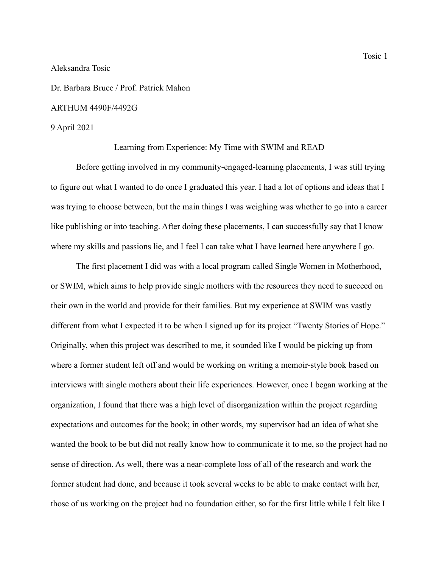### Aleksandra Tosic

Dr. Barbara Bruce / Prof. Patrick Mahon

### ARTHUM 4490F/4492G

#### 9 April 2021

### Learning from Experience: My Time with SWIM and READ

Before getting involved in my community-engaged-learning placements, I was still trying to figure out what I wanted to do once I graduated this year. I had a lot of options and ideas that I was trying to choose between, but the main things I was weighing was whether to go into a career like publishing or into teaching. After doing these placements, I can successfully say that I know where my skills and passions lie, and I feel I can take what I have learned here anywhere I go.

The first placement I did was with a local program called Single Women in Motherhood, or SWIM, which aims to help provide single mothers with the resources they need to succeed on their own in the world and provide for their families. But my experience at SWIM was vastly different from what I expected it to be when I signed up for its project "Twenty Stories of Hope." Originally, when this project was described to me, it sounded like I would be picking up from where a former student left off and would be working on writing a memoir-style book based on interviews with single mothers about their life experiences. However, once I began working at the organization, I found that there was a high level of disorganization within the project regarding expectations and outcomes for the book; in other words, my supervisor had an idea of what she wanted the book to be but did not really know how to communicate it to me, so the project had no sense of direction. As well, there was a near-complete loss of all of the research and work the former student had done, and because it took several weeks to be able to make contact with her, those of us working on the project had no foundation either, so for the first little while I felt like I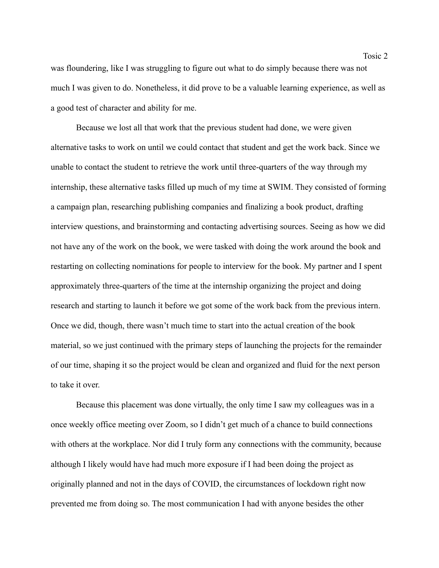was floundering, like I was struggling to figure out what to do simply because there was not much I was given to do. Nonetheless, it did prove to be a valuable learning experience, as well as a good test of character and ability for me.

Because we lost all that work that the previous student had done, we were given alternative tasks to work on until we could contact that student and get the work back. Since we unable to contact the student to retrieve the work until three-quarters of the way through my internship, these alternative tasks filled up much of my time at SWIM. They consisted of forming a campaign plan, researching publishing companies and finalizing a book product, drafting interview questions, and brainstorming and contacting advertising sources. Seeing as how we did not have any of the work on the book, we were tasked with doing the work around the book and restarting on collecting nominations for people to interview for the book. My partner and I spent approximately three-quarters of the time at the internship organizing the project and doing research and starting to launch it before we got some of the work back from the previous intern. Once we did, though, there wasn't much time to start into the actual creation of the book material, so we just continued with the primary steps of launching the projects for the remainder of our time, shaping it so the project would be clean and organized and fluid for the next person to take it over.

Because this placement was done virtually, the only time I saw my colleagues was in a once weekly office meeting over Zoom, so I didn't get much of a chance to build connections with others at the workplace. Nor did I truly form any connections with the community, because although I likely would have had much more exposure if I had been doing the project as originally planned and not in the days of COVID, the circumstances of lockdown right now prevented me from doing so. The most communication I had with anyone besides the other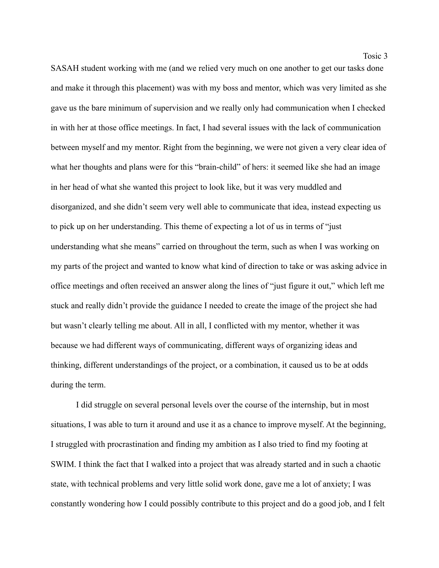Tosic 3

SASAH student working with me (and we relied very much on one another to get our tasks done and make it through this placement) was with my boss and mentor, which was very limited as she gave us the bare minimum of supervision and we really only had communication when I checked in with her at those office meetings. In fact, I had several issues with the lack of communication between myself and my mentor. Right from the beginning, we were not given a very clear idea of what her thoughts and plans were for this "brain-child" of hers: it seemed like she had an image in her head of what she wanted this project to look like, but it was very muddled and disorganized, and she didn't seem very well able to communicate that idea, instead expecting us to pick up on her understanding. This theme of expecting a lot of us in terms of "just understanding what she means" carried on throughout the term, such as when I was working on my parts of the project and wanted to know what kind of direction to take or was asking advice in office meetings and often received an answer along the lines of "just figure it out," which left me stuck and really didn't provide the guidance I needed to create the image of the project she had but wasn't clearly telling me about. All in all, I conflicted with my mentor, whether it was because we had different ways of communicating, different ways of organizing ideas and thinking, different understandings of the project, or a combination, it caused us to be at odds during the term.

I did struggle on several personal levels over the course of the internship, but in most situations, I was able to turn it around and use it as a chance to improve myself. At the beginning, I struggled with procrastination and finding my ambition as I also tried to find my footing at SWIM. I think the fact that I walked into a project that was already started and in such a chaotic state, with technical problems and very little solid work done, gave me a lot of anxiety; I was constantly wondering how I could possibly contribute to this project and do a good job, and I felt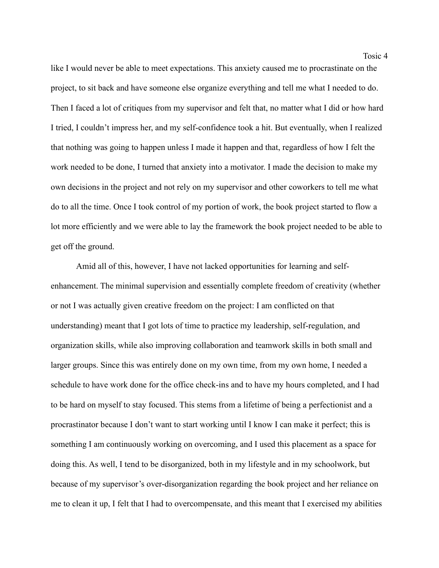like I would never be able to meet expectations. This anxiety caused me to procrastinate on the project, to sit back and have someone else organize everything and tell me what I needed to do. Then I faced a lot of critiques from my supervisor and felt that, no matter what I did or how hard I tried, I couldn't impress her, and my self-confidence took a hit. But eventually, when I realized that nothing was going to happen unless I made it happen and that, regardless of how I felt the work needed to be done, I turned that anxiety into a motivator. I made the decision to make my own decisions in the project and not rely on my supervisor and other coworkers to tell me what do to all the time. Once I took control of my portion of work, the book project started to flow a lot more efficiently and we were able to lay the framework the book project needed to be able to get off the ground.

Amid all of this, however, I have not lacked opportunities for learning and selfenhancement. The minimal supervision and essentially complete freedom of creativity (whether or not I was actually given creative freedom on the project: I am conflicted on that understanding) meant that I got lots of time to practice my leadership, self-regulation, and organization skills, while also improving collaboration and teamwork skills in both small and larger groups. Since this was entirely done on my own time, from my own home, I needed a schedule to have work done for the office check-ins and to have my hours completed, and I had to be hard on myself to stay focused. This stems from a lifetime of being a perfectionist and a procrastinator because I don't want to start working until I know I can make it perfect; this is something I am continuously working on overcoming, and I used this placement as a space for doing this. As well, I tend to be disorganized, both in my lifestyle and in my schoolwork, but because of my supervisor's over-disorganization regarding the book project and her reliance on me to clean it up, I felt that I had to overcompensate, and this meant that I exercised my abilities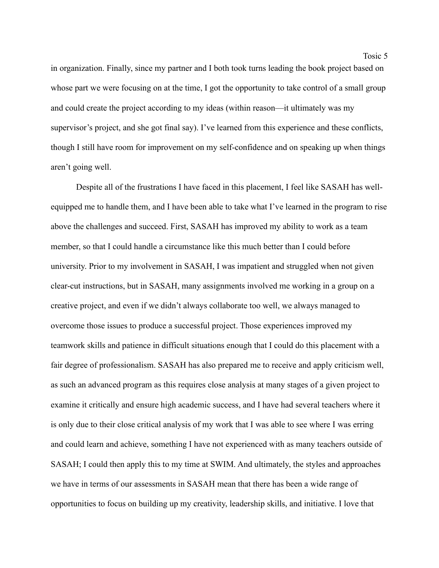in organization. Finally, since my partner and I both took turns leading the book project based on whose part we were focusing on at the time, I got the opportunity to take control of a small group and could create the project according to my ideas (within reason—it ultimately was my supervisor's project, and she got final say). I've learned from this experience and these conflicts, though I still have room for improvement on my self-confidence and on speaking up when things aren't going well.

Despite all of the frustrations I have faced in this placement, I feel like SASAH has wellequipped me to handle them, and I have been able to take what I've learned in the program to rise above the challenges and succeed. First, SASAH has improved my ability to work as a team member, so that I could handle a circumstance like this much better than I could before university. Prior to my involvement in SASAH, I was impatient and struggled when not given clear-cut instructions, but in SASAH, many assignments involved me working in a group on a creative project, and even if we didn't always collaborate too well, we always managed to overcome those issues to produce a successful project. Those experiences improved my teamwork skills and patience in difficult situations enough that I could do this placement with a fair degree of professionalism. SASAH has also prepared me to receive and apply criticism well, as such an advanced program as this requires close analysis at many stages of a given project to examine it critically and ensure high academic success, and I have had several teachers where it is only due to their close critical analysis of my work that I was able to see where I was erring and could learn and achieve, something I have not experienced with as many teachers outside of SASAH; I could then apply this to my time at SWIM. And ultimately, the styles and approaches we have in terms of our assessments in SASAH mean that there has been a wide range of opportunities to focus on building up my creativity, leadership skills, and initiative. I love that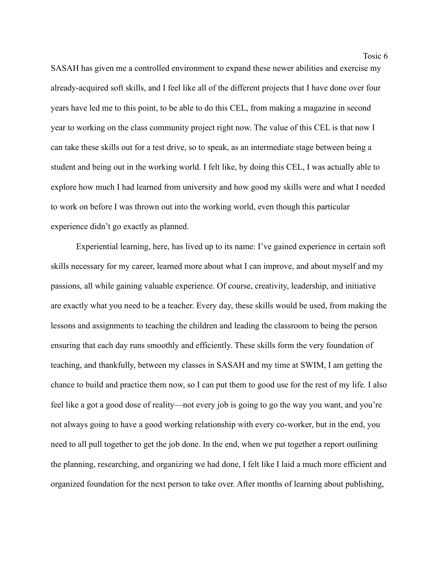Tosic 6

SASAH has given me a controlled environment to expand these newer abilities and exercise my already-acquired soft skills, and I feel like all of the different projects that I have done over four years have led me to this point, to be able to do this CEL, from making a magazine in second year to working on the class community project right now. The value of this CEL is that now I can take these skills out for a test drive, so to speak, as an intermediate stage between being a student and being out in the working world. I felt like, by doing this CEL, I was actually able to explore how much I had learned from university and how good my skills were and what I needed to work on before I was thrown out into the working world, even though this particular experience didn't go exactly as planned.

Experiential learning, here, has lived up to its name: I've gained experience in certain soft skills necessary for my career, learned more about what I can improve, and about myself and my passions, all while gaining valuable experience. Of course, creativity, leadership, and initiative are exactly what you need to be a teacher. Every day, these skills would be used, from making the lessons and assignments to teaching the children and leading the classroom to being the person ensuring that each day runs smoothly and efficiently. These skills form the very foundation of teaching, and thankfully, between my classes in SASAH and my time at SWIM, I am getting the chance to build and practice them now, so I can put them to good use for the rest of my life. I also feel like a got a good dose of reality—not every job is going to go the way you want, and you're not always going to have a good working relationship with every co-worker, but in the end, you need to all pull together to get the job done. In the end, when we put together a report outlining the planning, researching, and organizing we had done, I felt like I laid a much more efficient and organized foundation for the next person to take over. After months of learning about publishing,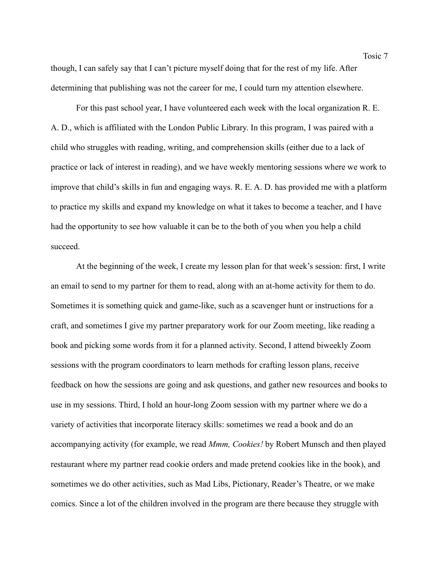though, I can safely say that I can't picture myself doing that for the rest of my life. After determining that publishing was not the career for me, I could turn my attention elsewhere.

For this past school year, I have volunteered each week with the local organization R. E. A. D., which is affiliated with the London Public Library. In this program, I was paired with a child who struggles with reading, writing, and comprehension skills (either due to a lack of practice or lack of interest in reading), and we have weekly mentoring sessions where we work to improve that child's skills in fun and engaging ways. R. E. A. D. has provided me with a platform to practice my skills and expand my knowledge on what it takes to become a teacher, and I have had the opportunity to see how valuable it can be to the both of you when you help a child succeed.

At the beginning of the week, I create my lesson plan for that week's session: first, I write an email to send to my partner for them to read, along with an at-home activity for them to do. Sometimes it is something quick and game-like, such as a scavenger hunt or instructions for a craft, and sometimes I give my partner preparatory work for our Zoom meeting, like reading a book and picking some words from it for a planned activity. Second, I attend biweekly Zoom sessions with the program coordinators to learn methods for crafting lesson plans, receive feedback on how the sessions are going and ask questions, and gather new resources and books to use in my sessions. Third, I hold an hour-long Zoom session with my partner where we do a variety of activities that incorporate literacy skills: sometimes we read a book and do an accompanying activity (for example, we read *Mmm, Cookies!* by Robert Munsch and then played restaurant where my partner read cookie orders and made pretend cookies like in the book), and sometimes we do other activities, such as Mad Libs, Pictionary, Reader's Theatre, or we make comics. Since a lot of the children involved in the program are there because they struggle with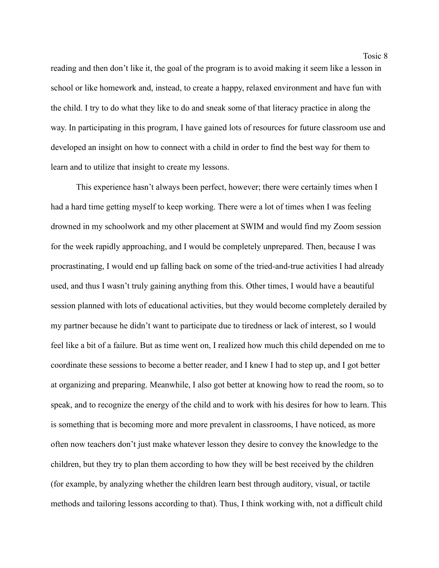reading and then don't like it, the goal of the program is to avoid making it seem like a lesson in school or like homework and, instead, to create a happy, relaxed environment and have fun with the child. I try to do what they like to do and sneak some of that literacy practice in along the way. In participating in this program, I have gained lots of resources for future classroom use and developed an insight on how to connect with a child in order to find the best way for them to learn and to utilize that insight to create my lessons.

This experience hasn't always been perfect, however; there were certainly times when I had a hard time getting myself to keep working. There were a lot of times when I was feeling drowned in my schoolwork and my other placement at SWIM and would find my Zoom session for the week rapidly approaching, and I would be completely unprepared. Then, because I was procrastinating, I would end up falling back on some of the tried-and-true activities I had already used, and thus I wasn't truly gaining anything from this. Other times, I would have a beautiful session planned with lots of educational activities, but they would become completely derailed by my partner because he didn't want to participate due to tiredness or lack of interest, so I would feel like a bit of a failure. But as time went on, I realized how much this child depended on me to coordinate these sessions to become a better reader, and I knew I had to step up, and I got better at organizing and preparing. Meanwhile, I also got better at knowing how to read the room, so to speak, and to recognize the energy of the child and to work with his desires for how to learn. This is something that is becoming more and more prevalent in classrooms, I have noticed, as more often now teachers don't just make whatever lesson they desire to convey the knowledge to the children, but they try to plan them according to how they will be best received by the children (for example, by analyzing whether the children learn best through auditory, visual, or tactile methods and tailoring lessons according to that). Thus, I think working with, not a difficult child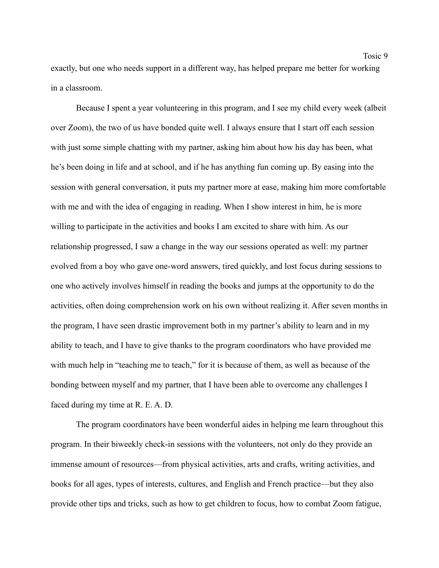exactly, but one who needs support in a different way, has helped prepare me better for working in a classroom.

Because I spent a year volunteering in this program, and I see my child every week (albeit over Zoom), the two of us have bonded quite well. I always ensure that I start off each session with just some simple chatting with my partner, asking him about how his day has been, what he's been doing in life and at school, and if he has anything fun coming up. By easing into the session with general conversation, it puts my partner more at ease, making him more comfortable with me and with the idea of engaging in reading. When I show interest in him, he is more willing to participate in the activities and books I am excited to share with him. As our relationship progressed, I saw a change in the way our sessions operated as well: my partner evolved from a boy who gave one-word answers, tired quickly, and lost focus during sessions to one who actively involves himself in reading the books and jumps at the opportunity to do the activities, often doing comprehension work on his own without realizing it. After seven months in the program, I have seen drastic improvement both in my partner's ability to learn and in my ability to teach, and I have to give thanks to the program coordinators who have provided me with much help in "teaching me to teach," for it is because of them, as well as because of the bonding between myself and my partner, that I have been able to overcome any challenges I faced during my time at R. E. A. D.

The program coordinators have been wonderful aides in helping me learn throughout this program. In their biweekly check-in sessions with the volunteers, not only do they provide an immense amount of resources—from physical activities, arts and crafts, writing activities, and books for all ages, types of interests, cultures, and English and French practice—but they also provide other tips and tricks, such as how to get children to focus, how to combat Zoom fatigue,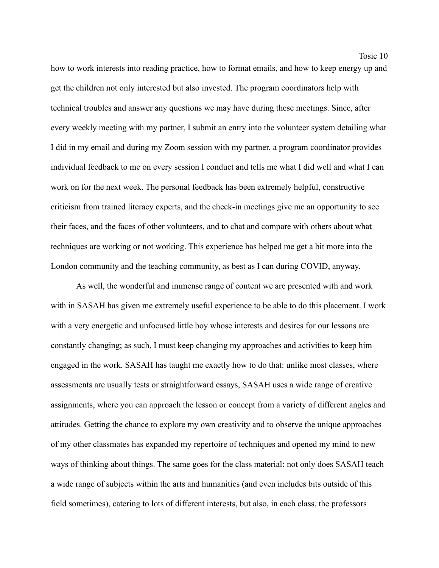Tosic 10

how to work interests into reading practice, how to format emails, and how to keep energy up and get the children not only interested but also invested. The program coordinators help with technical troubles and answer any questions we may have during these meetings. Since, after every weekly meeting with my partner, I submit an entry into the volunteer system detailing what I did in my email and during my Zoom session with my partner, a program coordinator provides individual feedback to me on every session I conduct and tells me what I did well and what I can work on for the next week. The personal feedback has been extremely helpful, constructive criticism from trained literacy experts, and the check-in meetings give me an opportunity to see their faces, and the faces of other volunteers, and to chat and compare with others about what techniques are working or not working. This experience has helped me get a bit more into the London community and the teaching community, as best as I can during COVID, anyway.

As well, the wonderful and immense range of content we are presented with and work with in SASAH has given me extremely useful experience to be able to do this placement. I work with a very energetic and unfocused little boy whose interests and desires for our lessons are constantly changing; as such, I must keep changing my approaches and activities to keep him engaged in the work. SASAH has taught me exactly how to do that: unlike most classes, where assessments are usually tests or straightforward essays, SASAH uses a wide range of creative assignments, where you can approach the lesson or concept from a variety of different angles and attitudes. Getting the chance to explore my own creativity and to observe the unique approaches of my other classmates has expanded my repertoire of techniques and opened my mind to new ways of thinking about things. The same goes for the class material: not only does SASAH teach a wide range of subjects within the arts and humanities (and even includes bits outside of this field sometimes), catering to lots of different interests, but also, in each class, the professors